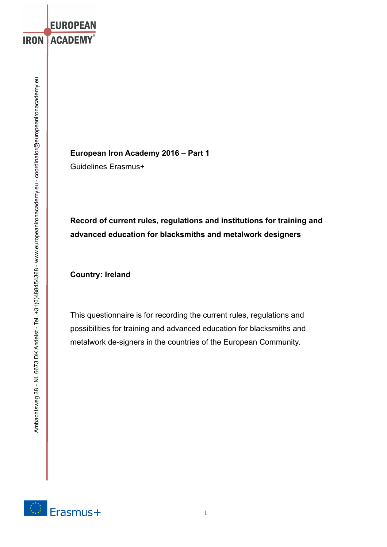**European Iron Academy 2016 – Part 1**  Guidelines Erasmus+

**Record of current rules, regulations and institutions for training and advanced education for blacksmiths and metalwork designers**

**Country: Ireland** 

**EUROPEAN** 

**IRON ACADEMY®** 

This questionnaire is for recording the current rules, regulations and possibilities for training and advanced education for blacksmiths and metalwork de-signers in the countries of the European Community.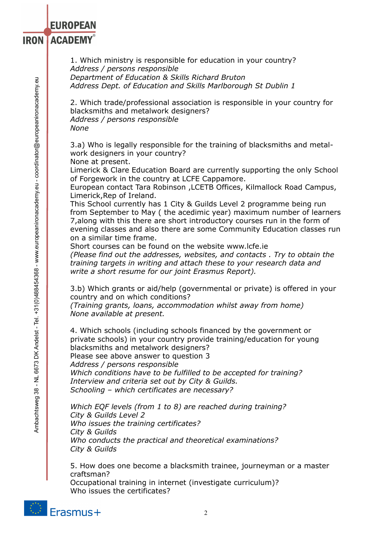**IRON ACADEMY®** 

1. Which ministry is responsible for education in your country? *Address / persons responsible Department of Education & Skills Richard Bruton Address Dept. of Education and Skills Marlborough St Dublin 1*

2. Which trade/professional association is responsible in your country for blacksmiths and metalwork designers? *Address / persons responsible None*

3.a) Who is legally responsible for the training of blacksmiths and metalwork designers in your country?

None at present.

Limerick & Clare Education Board are currently supporting the only School of Forgework in the country at LCFE Cappamore.

European contact Tara Robinson ,LCETB Offices, Kilmallock Road Campus, Limerick,Rep of Ireland.

This School currently has 1 City & Guilds Level 2 programme being run from September to May ( the acedimic year) maximum number of learners 7,along with this there are short introductory courses run in the form of evening classes and also there are some Community Education classes run on a similar time frame.

Short courses can be found on the website www.lcfe.ie *(Please find out the addresses, websites, and contacts . Try to obtain the* 

*training targets in writing and attach these to your research data and write a short resume for our joint Erasmus Report).* 

3.b) Which grants or aid/help (governmental or private) is offered in your country and on which conditions?

*(Training grants, loans, accommodation whilst away from home) None available at present.*

4. Which schools (including schools financed by the government or private schools) in your country provide training/education for young blacksmiths and metalwork designers? Please see above answer to question 3 *Address / persons responsible Which conditions have to be fulfilled to be accepted for training? Interview and criteria set out by City & Guilds. Schooling – which certificates are necessary?* 

*Which EQF levels (from 1 to 8) are reached during training? City & Guilds Level 2 Who issues the training certificates? City & Guilds Who conducts the practical and theoretical examinations? City & Guilds*

5. How does one become a blacksmith trainee, journeyman or a master craftsman?

Occupational training in internet (investigate curriculum)? Who issues the certificates?

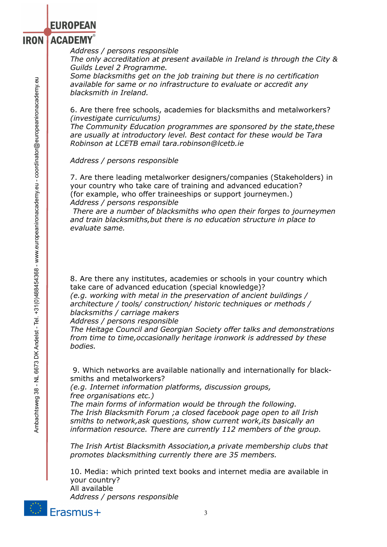#### **ACADEMY® IRON**

*Address / persons responsible* 

*The only accreditation at present available in Ireland is through the City & Guilds Level 2 Programme.* 

*Some blacksmiths get on the job training but there is no certification available for same or no infrastructure to evaluate or accredit any blacksmith in Ireland.*

6. Are there free schools, academies for blacksmiths and metalworkers? *(investigate curriculums)* 

*The Community Education programmes are sponsored by the state,these are usually at introductory level. Best contact for these would be Tara Robinson at LCETB email tara.robinson@lcetb.ie* 

*Address / persons responsible* 

7. Are there leading metalworker designers/companies (Stakeholders) in your country who take care of training and advanced education? (for example, who offer traineeships or support journeymen.) *Address / persons responsible* 

 *There are a number of blacksmiths who open their forges to journeymen and train blacksmiths,but there is no education structure in place to evaluate same.*

8. Are there any institutes, academies or schools in your country which take care of advanced education (special knowledge)?

*(e.g. working with metal in the preservation of ancient buildings / architecture / tools/ construction/ historic techniques or methods / blacksmiths / carriage makers* 

*Address / persons responsible* 

*The Heitage Council and Georgian Society offer talks and demonstrations from time to time,occasionally heritage ironwork is addressed by these bodies.*

 9. Which networks are available nationally and internationally for blacksmiths and metalworkers?

*(e.g. Internet information platforms, discussion groups, free organisations etc.)* 

*The main forms of information would be through the following. The Irish Blacksmith Forum ;a closed facebook page open to all Irish smiths to network,ask questions, show current work,its basically an information resource. There are currently 112 members of the group.* 

*The Irish Artist Blacksmith Association,a private membership clubs that promotes blacksmithing currently there are 35 members.*

10. Media: which printed text books and internet media are available in your country? All available

*Address / persons responsible* 



Ambachtsweg 38 - NL 6673 DK Andelst - Tel. +31(0)488454368 - www.europeanironacademy.eu - coordinator@europeanironacademy.eu

Ambachtsweg 38 - NL 6673 DK Andelst - Tel. +31(0)488454368 - www.europeanironacademy.eu - coordinator@europeanironacademy.eu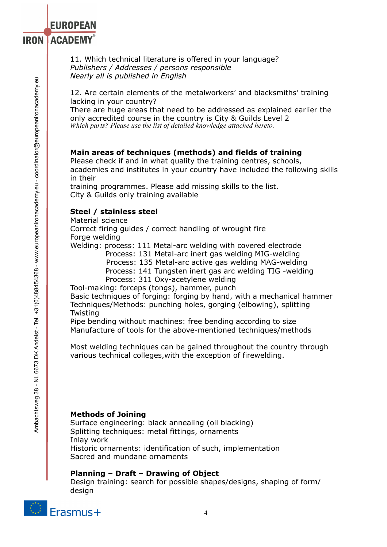#### **ACADEMY**® **IRON**

11. Which technical literature is offered in your language? *Publishers / Addresses / persons responsible Nearly all is published in English*

12. Are certain elements of the metalworkers' and blacksmiths' training lacking in your country?

There are huge areas that need to be addressed as explained earlier the only accredited course in the country is City & Guilds Level 2 *Which parts? Please use the list of detailed knowledge attached hereto.*

## **Main areas of techniques (methods) and fields of training**

Please check if and in what quality the training centres, schools, academies and institutes in your country have included the following skills in their

training programmes. Please add missing skills to the list. City & Guilds only training available

## **Steel / stainless steel**

Material science

Correct firing guides / correct handling of wrought fire Forge welding

Welding: process: 111 Metal-arc welding with covered electrode

Process: 131 Metal-arc inert gas welding MIG-welding

Process: 135 Metal-arc active gas welding MAG-welding

Process: 141 Tungsten inert gas arc welding TIG -welding

Process: 311 Oxy-acetylene welding

Tool-making: forceps (tongs), hammer, punch

Basic techniques of forging: forging by hand, with a mechanical hammer Techniques/Methods: punching holes, gorging (elbowing), splitting Twisting

Pipe bending without machines: free bending according to size Manufacture of tools for the above-mentioned techniques/methods

Most welding techniques can be gained throughout the country through various technical colleges,with the exception of firewelding.

### **Methods of Joining**

Surface engineering: black annealing (oil blacking) Splitting techniques: metal fittings, ornaments Inlay work Historic ornaments: identification of such, implementation Sacred and mundane ornaments

### **Planning – Draft – Drawing of Object**

Design training: search for possible shapes/designs, shaping of form/ design